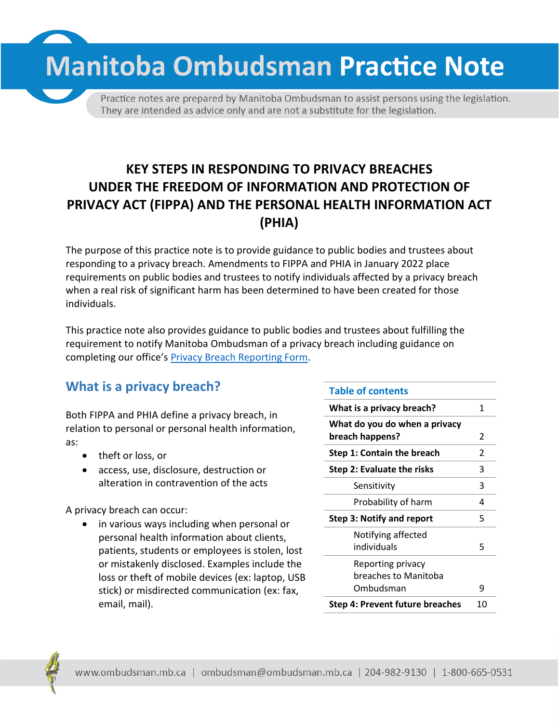**Manitoba Ombudsman Practice Note** 

Practice notes are prepared by Manitoba Ombudsman to assist persons using the legislation. They are intended as advice only and are not a substitute for the legislation.

# **KEY STEPS IN RESPONDING TO PRIVACY BREACHES UNDER THE FREEDOM OF INFORMATION AND PROTECTION OF PRIVACY ACT (FIPPA) AND THE PERSONAL HEALTH INFORMATION ACT (PHIA)**

The purpose of this practice note is to provide guidance to public bodies and trustees about responding to a privacy breach. Amendments to FIPPA and PHIA in January 2022 place requirements on public bodies and trustees to notify individuals affected by a privacy breach when a real risk of significant harm has been determined to have been created for those individuals.

This practice note also provides guidance to public bodies and trustees about fulfilling the requirement to notify Manitoba Ombudsman of a privacy breach including guidance on completing our office's [Privacy Breach Reporting Form.](https://www.ombudsman.mb.ca/info/privacy-breaches.html)

# **What is a privacy breach?**

Both FIPPA and PHIA define a privacy breach, in relation to personal or personal health information, as:

- theft or loss, or
- access, use, disclosure, destruction or alteration in contravention of the acts

A privacy breach can occur:

• in various ways including when personal or personal health information about clients, patients, students or employees is stolen, lost or mistakenly disclosed. Examples include the loss or theft of mobile devices (ex: laptop, USB stick) or misdirected communication (ex: fax, email, mail).

#### **Table of contents**

| 1             |
|---------------|
|               |
| 2             |
| $\mathcal{P}$ |
| 3             |
| 3             |
| 4             |
| 5             |
|               |
| 5             |
|               |
|               |
| q             |
| 10            |
|               |

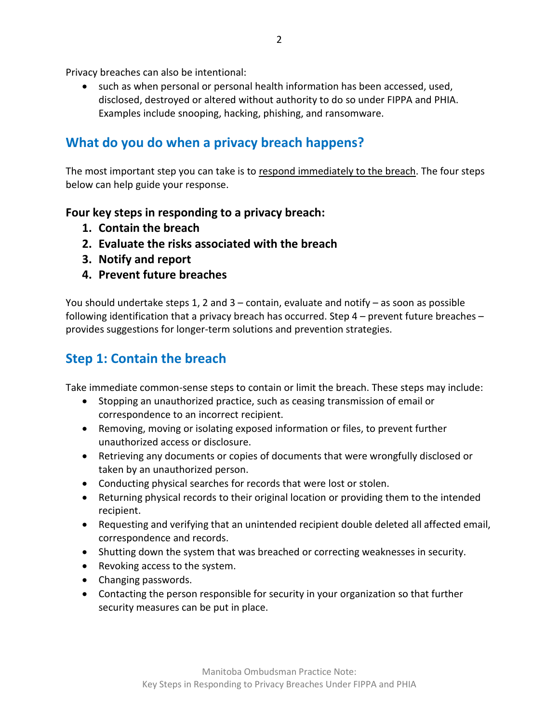Privacy breaches can also be intentional:

• such as when personal or personal health information has been accessed, used, disclosed, destroyed or altered without authority to do so under FIPPA and PHIA. Examples include snooping, hacking, phishing, and ransomware.

## **What do you do when a privacy breach happens?**

The most important step you can take is to respond immediately to the breach. The four steps below can help guide your response.

### **Four key steps in responding to a privacy breach:**

- **1. Contain the breach**
- **2. Evaluate the risks associated with the breach**
- **3. Notify and report**
- **4. Prevent future breaches**

You should undertake steps 1, 2 and  $3$  – contain, evaluate and notify – as soon as possible following identification that a privacy breach has occurred. Step 4 – prevent future breaches – provides suggestions for longer-term solutions and prevention strategies.

## **Step 1: Contain the breach**

Take immediate common-sense steps to contain or limit the breach. These steps may include:

- Stopping an unauthorized practice, such as ceasing transmission of email or correspondence to an incorrect recipient.
- Removing, moving or isolating exposed information or files, to prevent further unauthorized access or disclosure.
- Retrieving any documents or copies of documents that were wrongfully disclosed or taken by an unauthorized person.
- Conducting physical searches for records that were lost or stolen.
- Returning physical records to their original location or providing them to the intended recipient.
- Requesting and verifying that an unintended recipient double deleted all affected email, correspondence and records.
- Shutting down the system that was breached or correcting weaknesses in security.
- Revoking access to the system.
- Changing passwords.
- Contacting the person responsible for security in your organization so that further security measures can be put in place.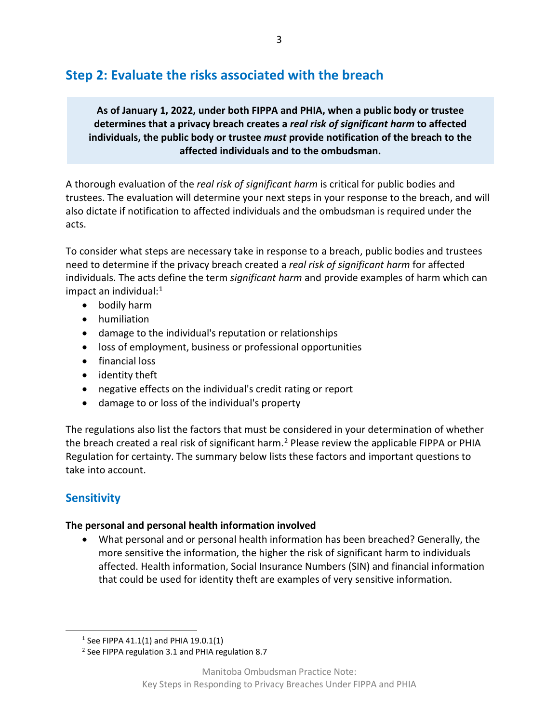# **Step 2: Evaluate the risks associated with the breach**

**As of January 1, 2022, under both FIPPA and PHIA, when a public body or trustee determines that a privacy breach creates a** *real risk of significant harm* **to affected individuals, the public body or trustee** *must* **provide notification of the breach to the affected individuals and to the ombudsman.**

A thorough evaluation of the *real risk of significant harm* is critical for public bodies and trustees. The evaluation will determine your next steps in your response to the breach, and will also dictate if notification to affected individuals and the ombudsman is required under the acts.

To consider what steps are necessary take in response to a breach, public bodies and trustees need to determine if the privacy breach created a *real risk of significant harm* for affected individuals. The acts define the term *significant harm* and provide examples of harm which can impact an individual: [1](#page-2-0)

- bodily harm
- humiliation
- damage to the individual's reputation or relationships
- loss of employment, business or professional opportunities
- financial loss
- identity theft
- negative effects on the individual's credit rating or report
- damage to or loss of the individual's property

The regulations also list the factors that must be considered in your determination of whether the breach created a real risk of significant harm.<sup>[2](#page-2-1)</sup> Please review the applicable FIPPA or PHIA Regulation for certainty. The summary below lists these factors and important questions to take into account.

## **Sensitivity**

### **The personal and personal health information involved**

• What personal and or personal health information has been breached? Generally, the more sensitive the information, the higher the risk of significant harm to individuals affected. Health information, Social Insurance Numbers (SIN) and financial information that could be used for identity theft are examples of very sensitive information.

<span id="page-2-0"></span> <sup>1</sup> See FIPPA 41.1(1) and PHIA 19.0.1(1)

<span id="page-2-1"></span><sup>&</sup>lt;sup>2</sup> See FIPPA regulation 3.1 and PHIA regulation 8.7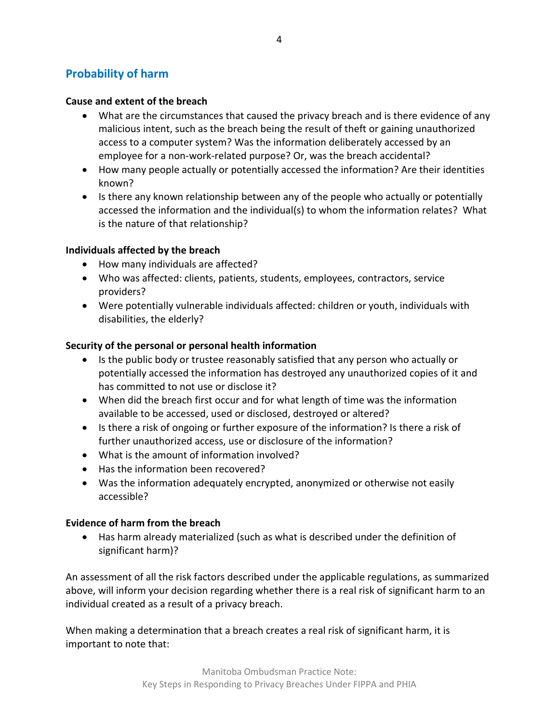## **Probability of harm**

#### **Cause and extent of the breach**

- What are the circumstances that caused the privacy breach and is there evidence of any malicious intent, such as the breach being the result of theft or gaining unauthorized access to a computer system? Was the information deliberately accessed by an employee for a non-work-related purpose? Or, was the breach accidental?
- How many people actually or potentially accessed the information? Are their identities known?
- Is there any known relationship between any of the people who actually or potentially accessed the information and the individual(s) to whom the information relates? What is the nature of that relationship?

#### **Individuals affected by the breach**

- How many individuals are affected?
- Who was affected: clients, patients, students, employees, contractors, service providers?
- Were potentially vulnerable individuals affected: children or youth, individuals with disabilities, the elderly?

#### **Security of the personal or personal health information**

- Is the public body or trustee reasonably satisfied that any person who actually or potentially accessed the information has destroyed any unauthorized copies of it and has committed to not use or disclose it?
- When did the breach first occur and for what length of time was the information available to be accessed, used or disclosed, destroyed or altered?
- Is there a risk of ongoing or further exposure of the information? Is there a risk of further unauthorized access, use or disclosure of the information?
- What is the amount of information involved?
- Has the information been recovered?
- Was the information adequately encrypted, anonymized or otherwise not easily accessible?

#### **Evidence of harm from the breach**

• Has harm already materialized (such as what is described under the definition of significant harm)?

An assessment of all the risk factors described under the applicable regulations, as summarized above, will inform your decision regarding whether there is a real risk of significant harm to an individual created as a result of a privacy breach.

When making a determination that a breach creates a real risk of significant harm, it is important to note that: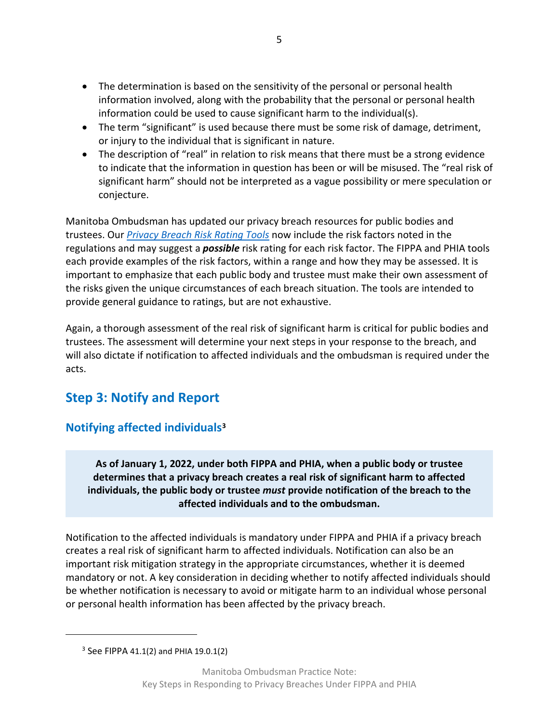- The determination is based on the sensitivity of the personal or personal health information involved, along with the probability that the personal or personal health information could be used to cause significant harm to the individual(s).
- The term "significant" is used because there must be some risk of damage, detriment, or injury to the individual that is significant in nature.
- The description of "real" in relation to risk means that there must be a strong evidence to indicate that the information in question has been or will be misused. The "real risk of significant harm" should not be interpreted as a vague possibility or mere speculation or conjecture.

Manitoba Ombudsman has updated our privacy breach resources for public bodies and trustees. Our *[Privacy Breach Risk Rating Tools](https://www.ombudsman.mb.ca/info/privacy-breaches.html)* now include the risk factors noted in the regulations and may suggest a *possible* risk rating for each risk factor. The FIPPA and PHIA tools each provide examples of the risk factors, within a range and how they may be assessed. It is important to emphasize that each public body and trustee must make their own assessment of the risks given the unique circumstances of each breach situation. The tools are intended to provide general guidance to ratings, but are not exhaustive.

Again, a thorough assessment of the real risk of significant harm is critical for public bodies and trustees. The assessment will determine your next steps in your response to the breach, and will also dictate if notification to affected individuals and the ombudsman is required under the acts.

# **Step 3: Notify and Report**

## **Notifying affected individual[s3](#page-4-0)**

**As of January 1, 2022, under both FIPPA and PHIA, when a public body or trustee determines that a privacy breach creates a real risk of significant harm to affected individuals, the public body or trustee** *must* **provide notification of the breach to the affected individuals and to the ombudsman.**

Notification to the affected individuals is mandatory under FIPPA and PHIA if a privacy breach creates a real risk of significant harm to affected individuals. Notification can also be an important risk mitigation strategy in the appropriate circumstances, whether it is deemed mandatory or not. A key consideration in deciding whether to notify affected individuals should be whether notification is necessary to avoid or mitigate harm to an individual whose personal or personal health information has been affected by the privacy breach.

<span id="page-4-0"></span>l

 $3$  See FIPPA 41.1(2) and PHIA 19.0.1(2)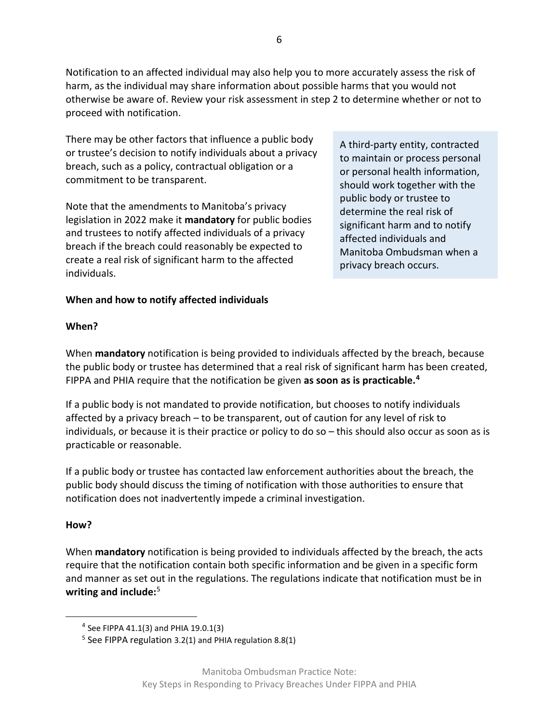Notification to an affected individual may also help you to more accurately assess the risk of harm, as the individual may share information about possible harms that you would not otherwise be aware of. Review your risk assessment in step 2 to determine whether or not to proceed with notification.

There may be other factors that influence a public body or trustee's decision to notify individuals about a privacy breach, such as a policy, contractual obligation or a commitment to be transparent.

Note that the amendments to Manitoba's privacy legislation in 2022 make it **mandatory** for public bodies and trustees to notify affected individuals of a privacy breach if the breach could reasonably be expected to create a real risk of significant harm to the affected individuals.

A third-party entity, contracted to maintain or process personal or personal health information, should work together with the public body or trustee to determine the real risk of significant harm and to notify affected individuals and Manitoba Ombudsman when a privacy breach occurs.

# **When and how to notify affected individuals**

### **When?**

When **mandatory** notification is being provided to individuals affected by the breach, because the public body or trustee has determined that a real risk of significant harm has been created, FIPPA and PHIA require that the notification be given **as soon as is practicable.[4](#page-5-0)**

If a public body is not mandated to provide notification, but chooses to notify individuals affected by a privacy breach – to be transparent, out of caution for any level of risk to individuals, or because it is their practice or policy to do so – this should also occur as soon as is practicable or reasonable.

If a public body or trustee has contacted law enforcement authorities about the breach, the public body should discuss the timing of notification with those authorities to ensure that notification does not inadvertently impede a criminal investigation.

### **How?**

When **mandatory** notification is being provided to individuals affected by the breach, the acts require that the notification contain both specific information and be given in a specific form and manner as set out in the regulations. The regulations indicate that notification must be in **writing and include:**[5](#page-5-1) 

<span id="page-5-0"></span> <sup>4</sup> See FIPPA 41.1(3) and PHIA 19.0.1(3)

<span id="page-5-1"></span> $5$  See FIPPA regulation 3.2(1) and PHIA regulation 8.8(1)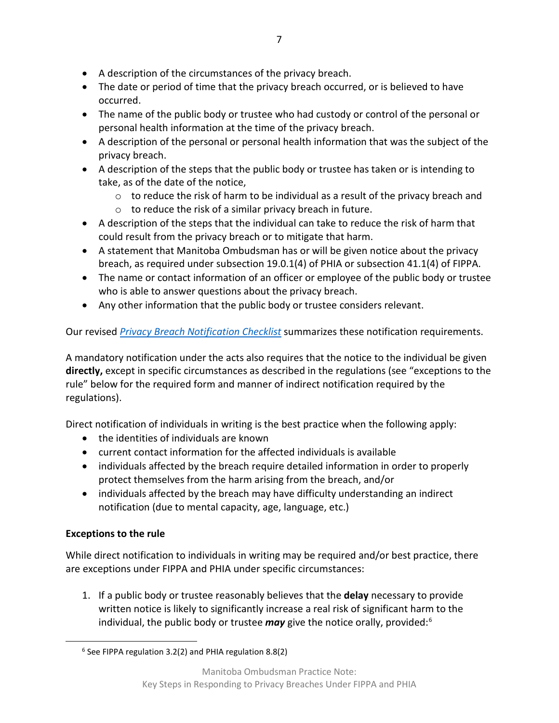- A description of the circumstances of the privacy breach.
- The date or period of time that the privacy breach occurred, or is believed to have occurred.
- The name of the public body or trustee who had custody or control of the personal or personal health information at the time of the privacy breach.
- A description of the personal or personal health information that was the subject of the privacy breach.
- A description of the steps that the public body or trustee has taken or is intending to take, as of the date of the notice,
	- o to reduce the risk of harm to be individual as a result of the privacy breach and
	- $\circ$  to reduce the risk of a similar privacy breach in future.
- A description of the steps that the individual can take to reduce the risk of harm that could result from the privacy breach or to mitigate that harm.
- A statement that Manitoba Ombudsman has or will be given notice about the privacy breach, as required under subsection 19.0.1(4) of PHIA or subsection 41.1(4) of FIPPA.
- The name or contact information of an officer or employee of the public body or trustee who is able to answer questions about the privacy breach.
- Any other information that the public body or trustee considers relevant.

Our revised *[Privacy Breach Notification Checklist](https://www.ombudsman.mb.ca/info/privacy-breaches.html)* summarizes these notification requirements.

A mandatory notification under the acts also requires that the notice to the individual be given **directly,** except in specific circumstances as described in the regulations (see "exceptions to the rule" below for the required form and manner of indirect notification required by the regulations).

Direct notification of individuals in writing is the best practice when the following apply:

- the identities of individuals are known
- current contact information for the affected individuals is available
- individuals affected by the breach require detailed information in order to properly protect themselves from the harm arising from the breach, and/or
- individuals affected by the breach may have difficulty understanding an indirect notification (due to mental capacity, age, language, etc.)

## **Exceptions to the rule**

While direct notification to individuals in writing may be required and/or best practice, there are exceptions under FIPPA and PHIA under specific circumstances:

1. If a public body or trustee reasonably believes that the **delay** necessary to provide written notice is likely to significantly increase a real risk of significant harm to the individual, the public body or trustee *may* give the notice orally, provided:[6](#page-6-0)

<span id="page-6-0"></span> <sup>6</sup> See FIPPA regulation 3.2(2) and PHIA regulation 8.8(2)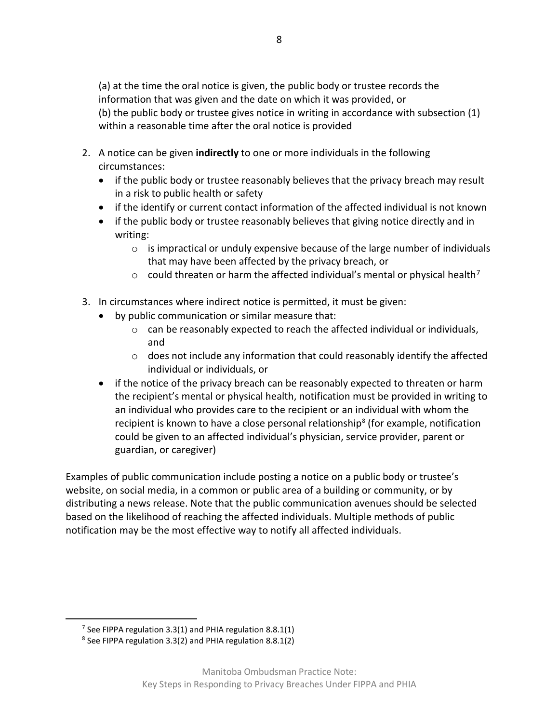(a) at the time the oral notice is given, the public body or trustee records the information that was given and the date on which it was provided, or (b) the public body or trustee gives notice in writing in accordance with subsection (1) within a reasonable time after the oral notice is provided

- 2. A notice can be given **indirectly** to one or more individuals in the following circumstances:
	- if the public body or trustee reasonably believes that the privacy breach may result in a risk to public health or safety
	- if the identify or current contact information of the affected individual is not known
	- if the public body or trustee reasonably believes that giving notice directly and in writing:
		- $\circ$  is impractical or unduly expensive because of the large number of individuals that may have been affected by the privacy breach, or
		- $\circ$  could threaten or harm the affected individual's mental or physical health<sup>[7](#page-7-0)</sup>
- 3. In circumstances where indirect notice is permitted, it must be given:
	- by public communication or similar measure that:
		- $\circ$  can be reasonably expected to reach the affected individual or individuals, and
		- $\circ$  does not include any information that could reasonably identify the affected individual or individuals, or
	- if the notice of the privacy breach can be reasonably expected to threaten or harm the recipient's mental or physical health, notification must be provided in writing to an individual who provides care to the recipient or an individual with whom the recipient is known to have a close personal relationship<sup>[8](#page-7-1)</sup> (for example, notification could be given to an affected individual's physician, service provider, parent or guardian, or caregiver)

Examples of public communication include posting a notice on a public body or trustee's website, on social media, in a common or public area of a building or community, or by distributing a news release. Note that the public communication avenues should be selected based on the likelihood of reaching the affected individuals. Multiple methods of public notification may be the most effective way to notify all affected individuals.

<span id="page-7-1"></span><span id="page-7-0"></span><sup>&</sup>lt;sup>7</sup> See FIPPA regulation 3.3(1) and PHIA regulation 8.8.1(1) <sup>8</sup> See FIPPA regulation 3.3(2) and PHIA regulation 8.8.1(2)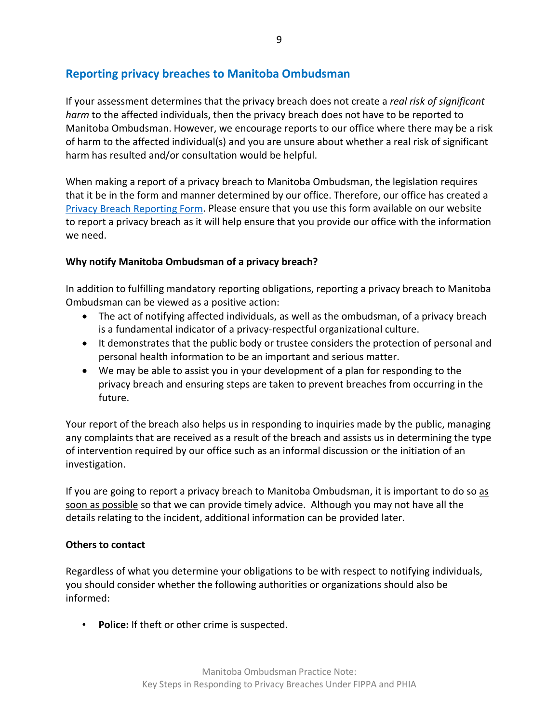## **Reporting privacy breaches to Manitoba Ombudsman**

If your assessment determines that the privacy breach does not create a *real risk of significant harm* to the affected individuals, then the privacy breach does not have to be reported to Manitoba Ombudsman. However, we encourage reports to our office where there may be a risk of harm to the affected individual(s) and you are unsure about whether a real risk of significant harm has resulted and/or consultation would be helpful.

When making a report of a privacy breach to Manitoba Ombudsman, the legislation requires that it be in the form and manner determined by our office. Therefore, our office has created a [Privacy Breach Reporting Form.](https://www.ombudsman.mb.ca/info/privacy-breaches.html) Please ensure that you use this form available on our website to report a privacy breach as it will help ensure that you provide our office with the information we need.

#### **Why notify Manitoba Ombudsman of a privacy breach?**

In addition to fulfilling mandatory reporting obligations, reporting a privacy breach to Manitoba Ombudsman can be viewed as a positive action:

- The act of notifying affected individuals, as well as the ombudsman, of a privacy breach is a fundamental indicator of a privacy-respectful organizational culture.
- It demonstrates that the public body or trustee considers the protection of personal and personal health information to be an important and serious matter.
- We may be able to assist you in your development of a plan for responding to the privacy breach and ensuring steps are taken to prevent breaches from occurring in the future.

Your report of the breach also helps us in responding to inquiries made by the public, managing any complaints that are received as a result of the breach and assists us in determining the type of intervention required by our office such as an informal discussion or the initiation of an investigation.

If you are going to report a privacy breach to Manitoba Ombudsman, it is important to do so as soon as possible so that we can provide timely advice. Although you may not have all the details relating to the incident, additional information can be provided later.

#### **Others to contact**

Regardless of what you determine your obligations to be with respect to notifying individuals, you should consider whether the following authorities or organizations should also be informed:

• **Police:** If theft or other crime is suspected.